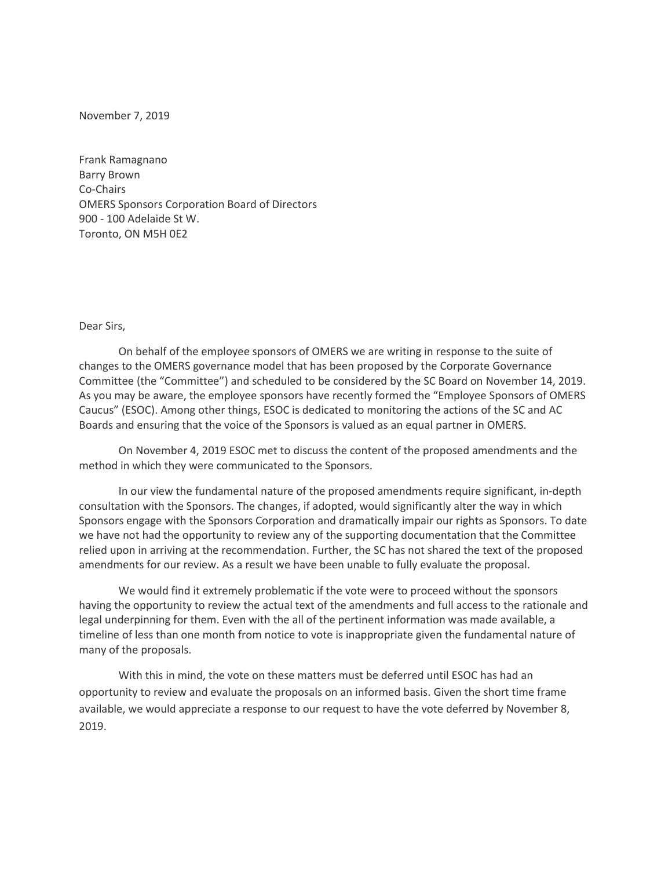November 7, 2019

Frank Ramagnano Barry Brown Co-Chairs OMERS Sponsors Corporation Board of Directors 900 - 100 Adelaide St W. Toronto, ON M5H 0E2

## Dear Sirs,

On behalf of the employee sponsors of OMERS we are writing in response to the suite of changes to the OMERS governance model that has been proposed by the Corporate Governance Committee (the "Committee") and scheduled to be considered by the SC Board on November 14, 2019. As you may be aware, the employee sponsors have recently formed the "Employee Sponsors of OMERS Caucus" (ESOC). Among other things, ESOC is dedicated to monitoring the actions of the SC and AC Boards and ensuring that the voice of the Sponsors is valued as an equal partner in OMERS.

On November 4, 2019 ESOC met to discuss the content of the proposed amendments and the method in which they were communicated to the Sponsors.

In our view the fundamental nature of the proposed amendments require significant, in-depth consultation with the Sponsors. The changes, if adopted, would significantly alter the way in which Sponsors engage with the Sponsors Corporation and dramatically impair our rights as Sponsors. To date we have not had the opportunity to review any of the supporting documentation that the Committee relied upon in arriving at the recommendation. Further, the SC has not shared the text of the proposed amendments for our review. As a result we have been unable to fully evaluate the proposal.

We would find it extremely problematic if the vote were to proceed without the sponsors having the opportunity to review the actual text of the amendments and full access to the rationale and legal underpinning for them. Even with the all of the pertinent information was made available, a timeline of less than one month from notice to vote is inappropriate given the fundamental nature of many of the proposals.

With this in mind, the vote on these matters must be deferred until ESOC has had an opportunity to review and evaluate the proposals on an informed basis. Given the short time frame available, we would appreciate a response to our request to have the vote deferred by November 8, 2019.